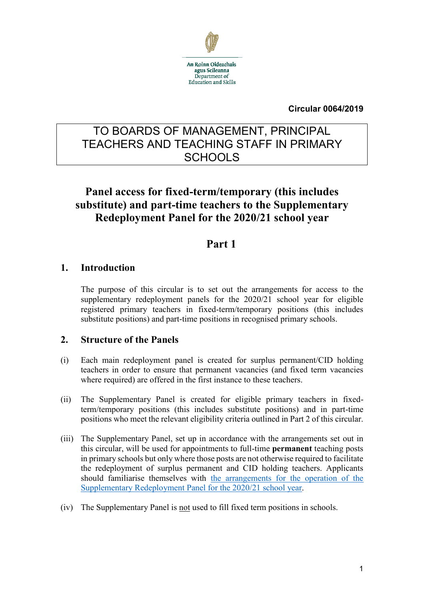

#### **Circular 0064/2019**

# TO BOARDS OF MANAGEMENT, PRINCIPAL TEACHERS AND TEACHING STAFF IN PRIMARY **SCHOOLS**

# **Panel access for fixed-term/temporary (this includes substitute) and part-time teachers to the Supplementary Redeployment Panel for the 2020/21 school year**

# **Part 1**

## **1. Introduction**

The purpose of this circular is to set out the arrangements for access to the supplementary redeployment panels for the 2020/21 school year for eligible registered primary teachers in fixed-term/temporary positions (this includes substitute positions) and part-time positions in recognised primary schools.

### **2. Structure of the Panels**

- (i) Each main redeployment panel is created for surplus permanent/CID holding teachers in order to ensure that permanent vacancies (and fixed term vacancies where required) are offered in the first instance to these teachers.
- (ii) The Supplementary Panel is created for eligible primary teachers in fixedterm/temporary positions (this includes substitute positions) and in part-time positions who meet the relevant eligibility criteria outlined in Part 2 of this circular.
- (iii) The Supplementary Panel, set up in accordance with the arrangements set out in this circular, will be used for appointments to full-time **permanent** teaching posts in primary schools but only where those posts are not otherwise required to facilitate the redeployment of surplus permanent and CID holding teachers. Applicants should familiarise themselves with [the arrangements for the operation of the](https://www.education.ie/en/Schools-Colleges/Services/Teacher-Allocations/Teacher-Allocation/primary-faqs-to-circular-0064-2019.pdf)  [Supplementary Redeployment Panel for the 2020/21](https://www.education.ie/en/Schools-Colleges/Services/Teacher-Allocations/Teacher-Allocation/primary-faqs-to-circular-0064-2019.pdf) school year.
- (iv) The Supplementary Panel is not used to fill fixed term positions in schools.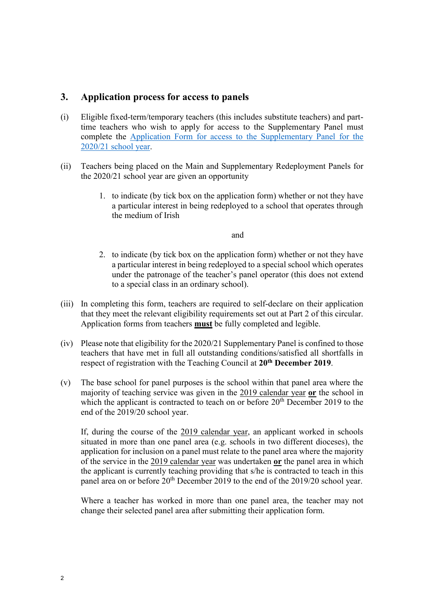#### **3. Application process for access to panels**

- (i) Eligible fixed-term/temporary teachers (this includes substitute teachers) and parttime teachers who wish to apply for access to the Supplementary Panel must complete the [Application Form for access to the Supplementary Panel for the](https://www.education.ie/en/Circulars-and-Forms/Popular-forms/application-form-access-to-supplementary-panel-2020-21-school-year.pdf)  2020/21 [school year.](https://www.education.ie/en/Circulars-and-Forms/Popular-forms/application-form-access-to-supplementary-panel-2020-21-school-year.pdf)
- (ii) Teachers being placed on the Main and Supplementary Redeployment Panels for the 2020/21 school year are given an opportunity
	- 1. to indicate (by tick box on the application form) whether or not they have a particular interest in being redeployed to a school that operates through the medium of Irish

and

- 2. to indicate (by tick box on the application form) whether or not they have a particular interest in being redeployed to a special school which operates under the patronage of the teacher's panel operator (this does not extend to a special class in an ordinary school).
- (iii) In completing this form, teachers are required to self-declare on their application that they meet the relevant eligibility requirements set out at Part 2 of this circular. Application forms from teachers **must** be fully completed and legible.
- (iv) Please note that eligibility for the 2020/21 Supplementary Panel is confined to those teachers that have met in full all outstanding conditions/satisfied all shortfalls in respect of registration with the Teaching Council at **20th December 2019**.
- (v) The base school for panel purposes is the school within that panel area where the majority of teaching service was given in the 2019 calendar year **or** the school in which the applicant is contracted to teach on or before 20<sup>th</sup> December 2019 to the end of the 2019/20 school year.

If, during the course of the 2019 calendar year, an applicant worked in schools situated in more than one panel area (e.g. schools in two different dioceses), the application for inclusion on a panel must relate to the panel area where the majority of the service in the 2019 calendar year was undertaken **or** the panel area in which the applicant is currently teaching providing that s/he is contracted to teach in this panel area on or before 20<sup>th</sup> December 2019 to the end of the 2019/20 school year.

Where a teacher has worked in more than one panel area, the teacher may not change their selected panel area after submitting their application form.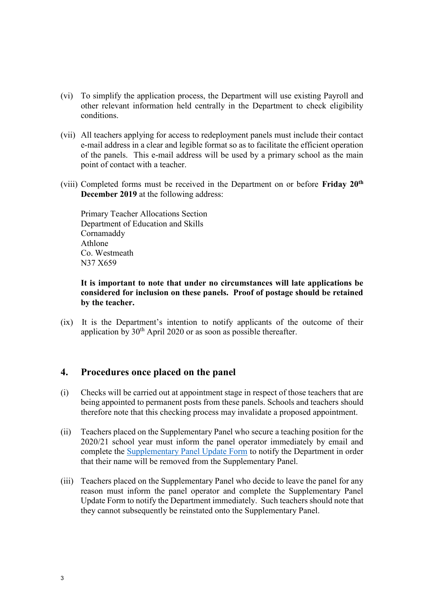- (vi) To simplify the application process, the Department will use existing Payroll and other relevant information held centrally in the Department to check eligibility conditions.
- (vii) All teachers applying for access to redeployment panels must include their contact e-mail address in a clear and legible format so as to facilitate the efficient operation of the panels. This e-mail address will be used by a primary school as the main point of contact with a teacher.
- (viii) Completed forms must be received in the Department on or before **Friday 20th December 2019** at the following address:

Primary Teacher Allocations Section Department of Education and Skills Cornamaddy Athlone Co. Westmeath N37 X659

#### **It is important to note that under no circumstances will late applications be considered for inclusion on these panels. Proof of postage should be retained by the teacher.**

(ix) It is the Department's intention to notify applicants of the outcome of their application by  $30<sup>th</sup>$  April 2020 or as soon as possible thereafter.

#### **4. Procedures once placed on the panel**

- (i) Checks will be carried out at appointment stage in respect of those teachers that are being appointed to permanent posts from these panels. Schools and teachers should therefore note that this checking process may invalidate a proposed appointment.
- (ii) Teachers placed on the Supplementary Panel who secure a teaching position for the 2020/21 school year must inform the panel operator immediately by email and complete the [Supplementary Panel Update Form](https://www.education.ie/en/Circulars-and-Forms/Popular-forms/supplementary-redeployment-PUF-2020-21-primary.pdf) to notify the Department in order that their name will be removed from the Supplementary Panel.
- (iii) Teachers placed on the Supplementary Panel who decide to leave the panel for any reason must inform the panel operator and complete the Supplementary Panel Update Form to notify the Department immediately. Such teachers should note that they cannot subsequently be reinstated onto the Supplementary Panel.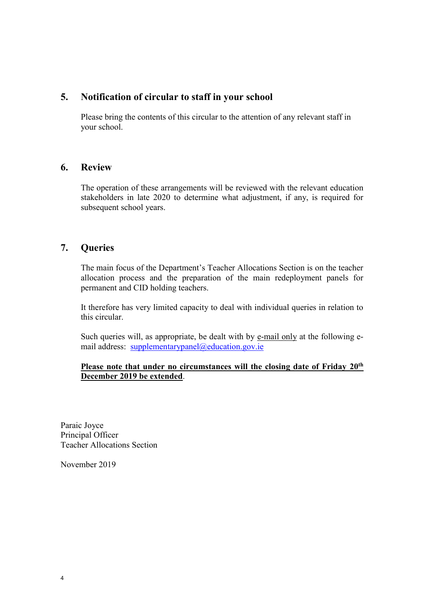### **5. Notification of circular to staff in your school**

Please bring the contents of this circular to the attention of any relevant staff in your school.

#### **6. Review**

The operation of these arrangements will be reviewed with the relevant education stakeholders in late 2020 to determine what adjustment, if any, is required for subsequent school years.

### **7. Queries**

The main focus of the Department's Teacher Allocations Section is on the teacher allocation process and the preparation of the main redeployment panels for permanent and CID holding teachers.

It therefore has very limited capacity to deal with individual queries in relation to this circular.

Such queries will, as appropriate, be dealt with by e-mail only at the following email address: [supplementarypanel@education.gov.ie](mailto:supplementarypanel@education.gov.ie)

#### **Please note that under no circumstances will the closing date of Friday 20th December 2019 be extended**.

Paraic Joyce Principal Officer Teacher Allocations Section

November 2019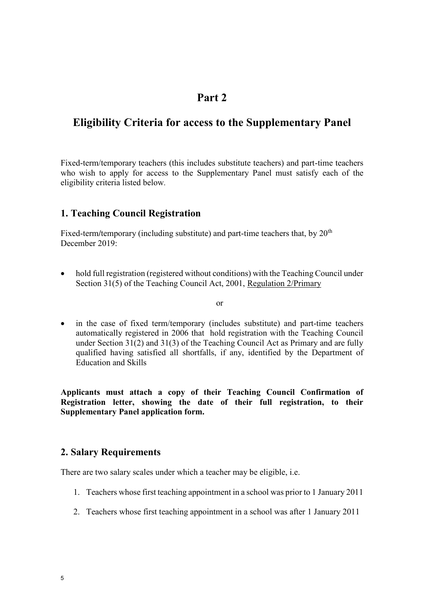## **Part 2**

# **Eligibility Criteria for access to the Supplementary Panel**

Fixed-term/temporary teachers (this includes substitute teachers) and part-time teachers who wish to apply for access to the Supplementary Panel must satisfy each of the eligibility criteria listed below*.*

### **1. Teaching Council Registration**

Fixed-term/temporary (including substitute) and part-time teachers that, by 20<sup>th</sup> December 2019:

• hold full registration (registered without conditions) with the Teaching Council under Section 31(5) of the Teaching Council Act, 2001, Regulation 2/Primary

or

• in the case of fixed term/temporary (includes substitute) and part-time teachers automatically registered in 2006 that hold registration with the Teaching Council under Section 31(2) and 31(3) of the Teaching Council Act as Primary and are fully qualified having satisfied all shortfalls, if any, identified by the Department of Education and Skills

**Applicants must attach a copy of their Teaching Council Confirmation of Registration letter, showing the date of their full registration, to their Supplementary Panel application form.** 

### **2. Salary Requirements**

There are two salary scales under which a teacher may be eligible, i.e.

- 1. Teachers whose first teaching appointment in a school was prior to 1 January 2011
- 2. Teachers whose first teaching appointment in a school was after 1 January 2011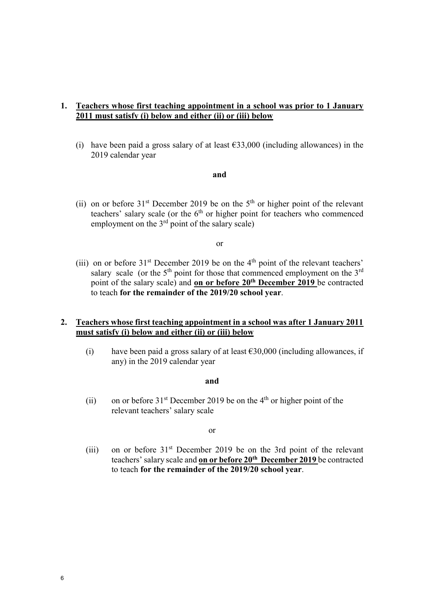#### **1. Teachers whose first teaching appointment in a school was prior to 1 January 2011 must satisfy (i) below and either (ii) or (iii) below**

(i) have been paid a gross salary of at least  $\epsilon$ 33,000 (including allowances) in the 2019 calendar year

#### **and**

(ii) on or before  $31<sup>st</sup>$  December 2019 be on the  $5<sup>th</sup>$  or higher point of the relevant teachers' salary scale (or the  $6<sup>th</sup>$  or higher point for teachers who commenced employment on the  $3<sup>rd</sup>$  point of the salary scale)

or

(iii) on or before  $31<sup>st</sup>$  December 2019 be on the 4<sup>th</sup> point of the relevant teachers' salary scale (or the  $5<sup>th</sup>$  point for those that commenced employment on the  $3<sup>rd</sup>$ point of the salary scale) and **on or before 20th December 2019** be contracted to teach **for the remainder of the 2019/20 school year**.

#### **2. Teachers whose first teaching appointment in a school was after 1 January 2011 must satisfy (i) below and either (ii) or (iii) below**

(i) have been paid a gross salary of at least  $\epsilon$ 30,000 (including allowances, if any) in the 2019 calendar year

#### **and**

(ii) on or before  $31<sup>st</sup>$  December 2019 be on the 4<sup>th</sup> or higher point of the relevant teachers' salary scale

#### or

(iii) on or before  $31<sup>st</sup>$  December 2019 be on the 3rd point of the relevant teachers' salary scale and **on or before 20th December 2019** be contracted to teach **for the remainder of the 2019/20 school year**.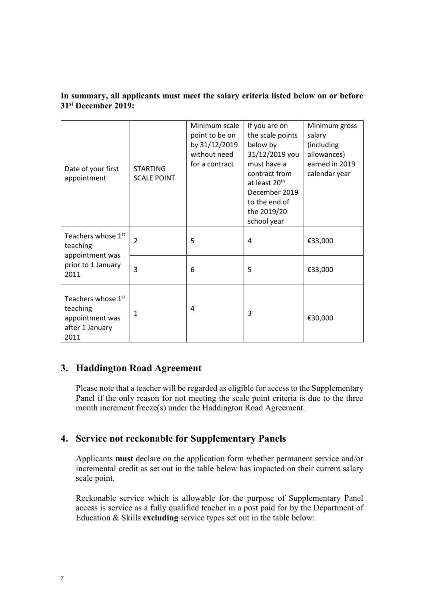| Date of your first<br>appointment                                                           | <b>STARTING</b><br><b>SCALE POINT</b> | Minimum scale<br>point to be on<br>by 31/12/2019<br>without need<br>for a contract | If you are on<br>the scale points<br>below by<br>31/12/2019 you<br>must have a<br>contract from<br>at least 20 <sup>th</sup><br>December 2019<br>to the end of<br>the 2019/20<br>school year | Minimum gross<br>salary<br>(including<br>allowances)<br>earned in 2019<br>calendar year |
|---------------------------------------------------------------------------------------------|---------------------------------------|------------------------------------------------------------------------------------|----------------------------------------------------------------------------------------------------------------------------------------------------------------------------------------------|-----------------------------------------------------------------------------------------|
| Teachers whose 1 <sup>st</sup><br>teaching<br>appointment was<br>prior to 1 January<br>2011 | $\overline{2}$                        | 5                                                                                  | 4                                                                                                                                                                                            | €33,000                                                                                 |
|                                                                                             | $\overline{3}$                        | 6                                                                                  | 5                                                                                                                                                                                            | €33,000                                                                                 |
| Teachers whose 1st<br>teaching<br>appointment was<br>after 1 January<br>2011                | $\mathbf{1}$                          | 4                                                                                  | 3                                                                                                                                                                                            | €30,000                                                                                 |

#### **In summary, all applicants must meet the salary criteria listed below on or before 31st December 2019:**

## **3. Haddington Road Agreement**

Please note that a teacher will be regarded as eligible for access to the Supplementary Panel if the only reason for not meeting the scale point criteria is due to the three month increment freeze(s) under the Haddington Road Agreement.

## **4. Service not reckonable for Supplementary Panels**

Applicants **must** declare on the application form whether permanent service and/or incremental credit as set out in the table below has impacted on their current salary scale point.

Reckonable service which is allowable for the purpose of Supplementary Panel access is service as a fully qualified teacher in a post paid for by the Department of Education & Skills **excluding** service types set out in the table below: